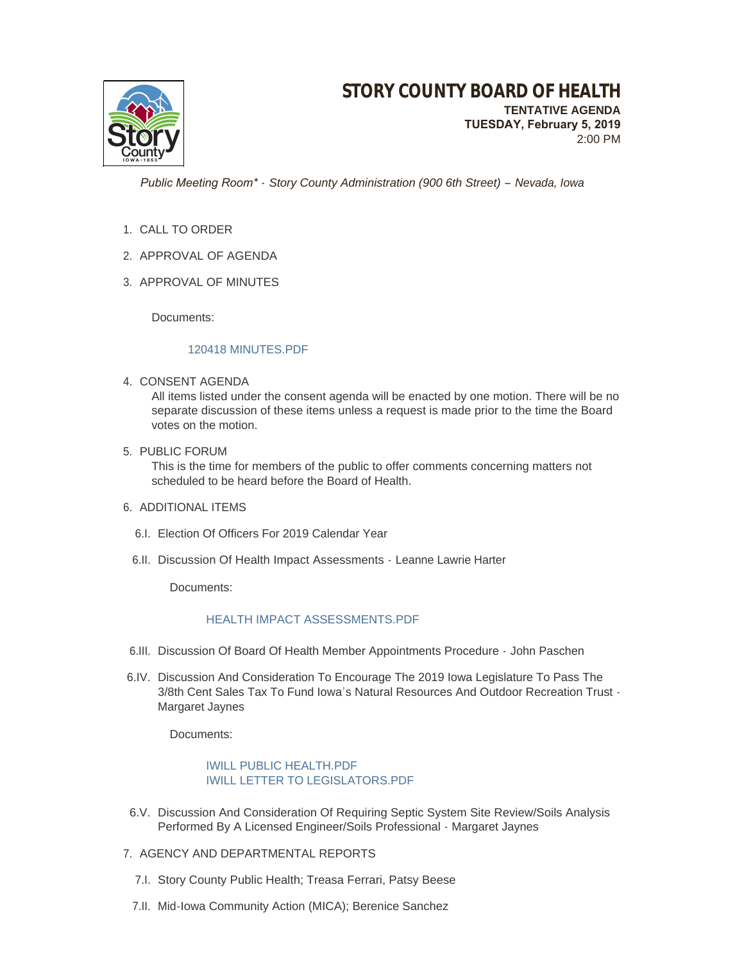

 *Public Meeting Room\* - Story County Administration (900 6th Street) – Nevada, Iowa*

- 1. CALL TO ORDER
- 2. APPROVAL OF AGENDA
- 3. APPROVAL OF MINUTES

Documents:

#### [120418 MINUTES.PDF](http://www.storycountyiowa.gov/AgendaCenter/ViewFile/Item/13731?fileID=10621)

4. CONSENT AGENDA

All items listed under the consent agenda will be enacted by one motion. There will be no separate discussion of these items unless a request is made prior to the time the Board votes on the motion.

5. PUBLIC FORUM

This is the time for members of the public to offer comments concerning matters not scheduled to be heard before the Board of Health.

# 6. ADDITIONAL ITEMS

- 6.I. Election Of Officers For 2019 Calendar Year
- 6.II. Discussion Of Health Impact Assessments Leanne Lawrie Harter

Documents:

### [HEALTH IMPACT ASSESSMENTS.PDF](http://www.storycountyiowa.gov/AgendaCenter/ViewFile/Item/13623?fileID=10623)

- 6.III. Discussion Of Board Of Health Member Appointments Procedure John Paschen
- 6.IV. Discussion And Consideration To Encourage The 2019 Iowa Legislature To Pass The 3/8th Cent Sales Tax To Fund Iowa's Natural Resources And Outdoor Recreation Trust - Margaret Jaynes

Documents:

# [IWILL PUBLIC HEALTH.PDF](http://www.storycountyiowa.gov/AgendaCenter/ViewFile/Item/13823?fileID=10622) [IWILL LETTER TO LEGISLATORS.PDF](http://www.storycountyiowa.gov/AgendaCenter/ViewFile/Item/13823?fileID=10642)

- 6.V. Discussion And Consideration Of Requiring Septic System Site Review/Soils Analysis Performed By A Licensed Engineer/Soils Professional - Margaret Jaynes
- 7. AGENCY AND DEPARTMENTAL REPORTS
	- 7.I. Story County Public Health; Treasa Ferrari, Patsy Beese
	- 7.II. Mid-Iowa Community Action (MICA); Berenice Sanchez